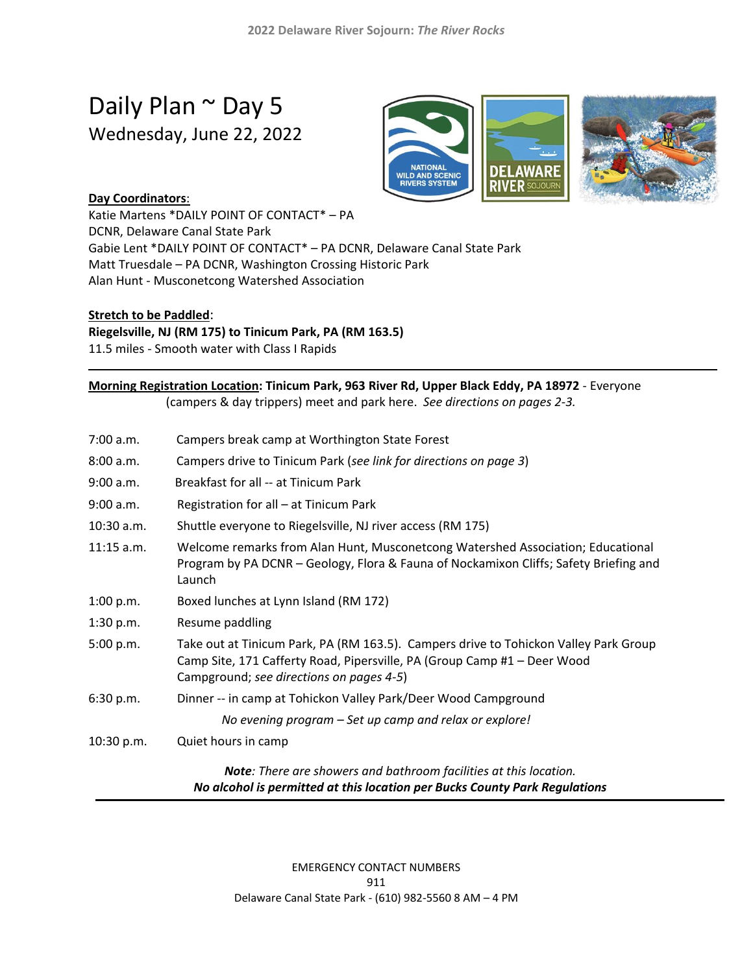# Daily Plan ~ Day 5 Wednesday, June 22, 2022



## **Day Coordinators**:

Katie Martens \*DAILY POINT OF CONTACT\* – PA DCNR, Delaware Canal State Park Gabie Lent \*DAILY POINT OF CONTACT\* – PA DCNR, Delaware Canal State Park Matt Truesdale – PA DCNR, Washington Crossing Historic Park Alan Hunt - Musconetcong Watershed Association

#### **Stretch to be Paddled**:

1

**Riegelsville, NJ (RM 175) to Tinicum Park, PA (RM 163.5)**

11.5 miles - Smooth water with Class I Rapids

# **Morning Registration Location: Tinicum Park, 963 River Rd, Upper Black Eddy, PA 18972** - Everyone

(campers & day trippers) meet and park here. *See directions on pages 2-3.*

| 7:00 a.m.    | Campers break camp at Worthington State Forest                                                                                                                                                               |
|--------------|--------------------------------------------------------------------------------------------------------------------------------------------------------------------------------------------------------------|
| 8:00 a.m.    | Campers drive to Tinicum Park (see link for directions on page 3)                                                                                                                                            |
| 9:00 a.m.    | Breakfast for all -- at Tinicum Park                                                                                                                                                                         |
| 9:00 a.m.    | Registration for all - at Tinicum Park                                                                                                                                                                       |
| $10:30$ a.m. | Shuttle everyone to Riegelsville, NJ river access (RM 175)                                                                                                                                                   |
| $11:15$ a.m. | Welcome remarks from Alan Hunt, Musconetcong Watershed Association; Educational<br>Program by PA DCNR - Geology, Flora & Fauna of Nockamixon Cliffs; Safety Briefing and<br>Launch                           |
| 1:00 p.m.    | Boxed lunches at Lynn Island (RM 172)                                                                                                                                                                        |
| 1:30 p.m.    | Resume paddling                                                                                                                                                                                              |
| 5:00 p.m.    | Take out at Tinicum Park, PA (RM 163.5). Campers drive to Tohickon Valley Park Group<br>Camp Site, 171 Cafferty Road, Pipersville, PA (Group Camp #1 - Deer Wood<br>Campground; see directions on pages 4-5) |
| 6:30 p.m.    | Dinner -- in camp at Tohickon Valley Park/Deer Wood Campground                                                                                                                                               |
|              | No evening program - Set up camp and relax or explore!                                                                                                                                                       |
| 10:30 p.m.   | Quiet hours in camp                                                                                                                                                                                          |
|              | Note: There are showers and bathroom facilities at this location.<br>No alcohol is permitted at this location per Bucks County Park Regulations                                                              |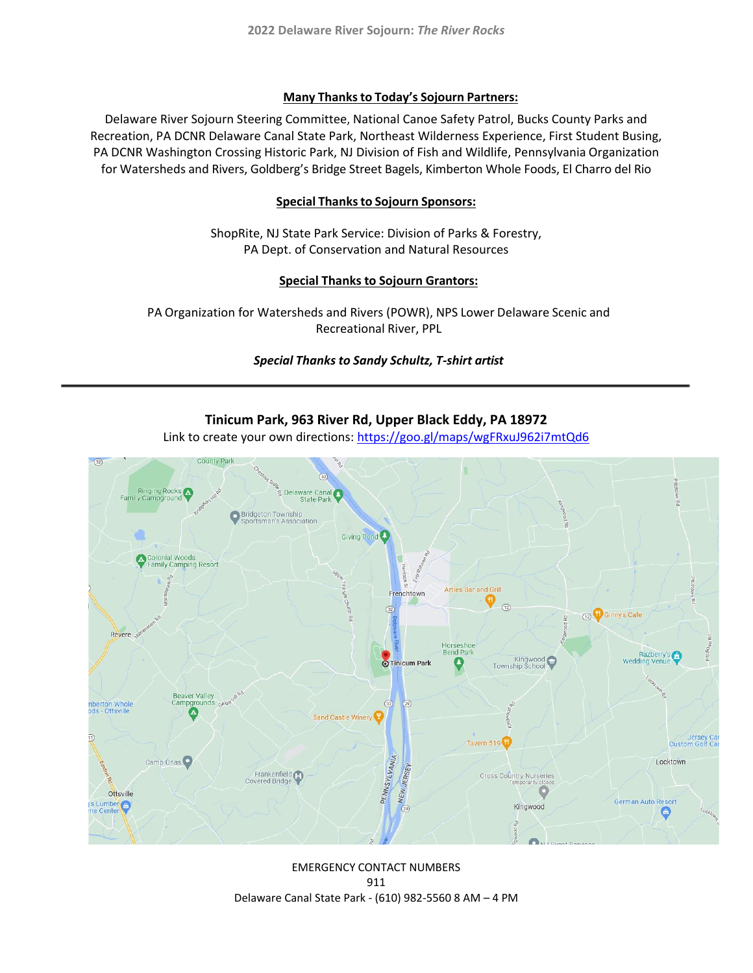#### **Many Thanksto Today's Sojourn Partners:**

Delaware River Sojourn Steering Committee, National Canoe Safety Patrol, Bucks County Parks and Recreation, PA DCNR Delaware Canal State Park, Northeast Wilderness Experience, First Student Busing, PA DCNR Washington Crossing Historic Park, NJ Division of Fish and Wildlife, Pennsylvania Organization for Watersheds and Rivers, Goldberg's Bridge Street Bagels, Kimberton Whole Foods, El Charro del Rio

#### **Special Thanksto Sojourn Sponsors:**

ShopRite, NJ State Park Service: Division of Parks & Forestry, PA Dept. of Conservation and Natural Resources

#### **Special Thanks to Sojourn Grantors:**

PA Organization for Watersheds and Rivers (POWR), NPS Lower Delaware Scenic and Recreational River, PPL

#### *Special Thanks to Sandy Schultz, T-shirt artist*



**Tinicum Park, 963 River Rd, Upper Black Eddy, PA 18972** 

Link to create your own directions:<https://goo.gl/maps/wgFRxuJ962i7mtQd6>

EMERGENCY CONTACT NUMBERS 911 Delaware Canal State Park - (610) 982-5560 8 AM – 4 PM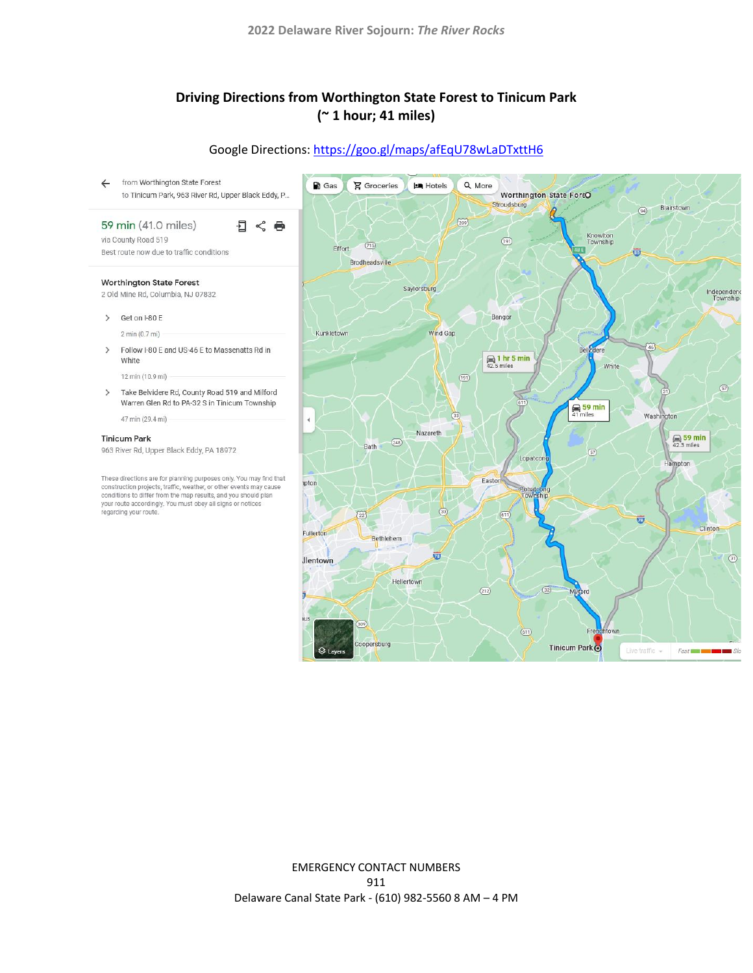# **Driving Directions from Worthington State Forest to Tinicum Park (~ 1 hour; 41 miles)**

# Google Directions:<https://goo.gl/maps/afEqU78wLaDTxttH6>

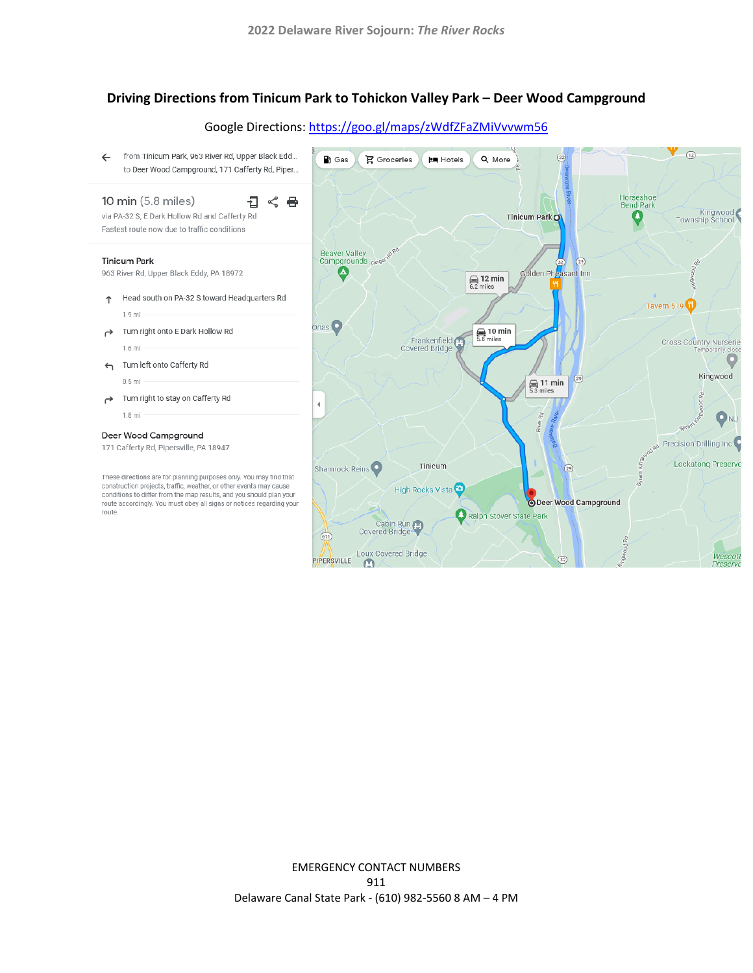### **Driving Directions from Tinicum Park to Tohickon Valley Park – Deer Wood Campground**





EMERGENCY CONTACT NUMBERS 911 Delaware Canal State Park - (610) 982-5560 8 AM – 4 PM